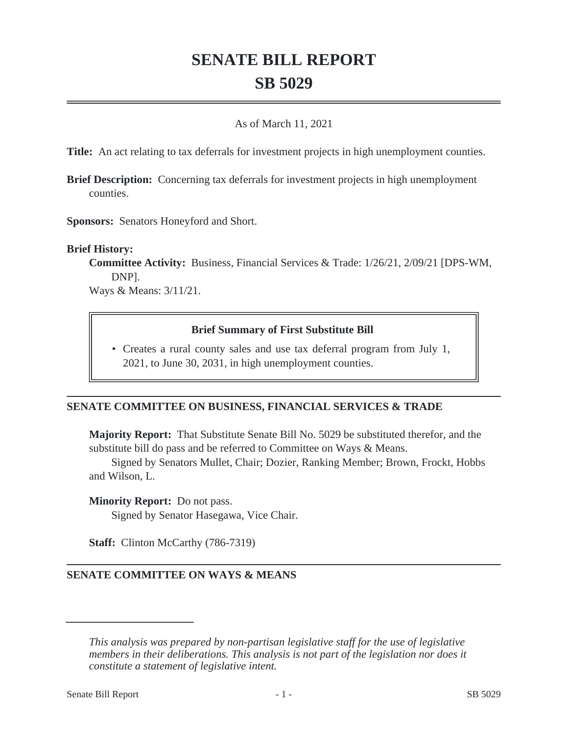# **SENATE BILL REPORT SB 5029**

### As of March 11, 2021

**Title:** An act relating to tax deferrals for investment projects in high unemployment counties.

**Brief Description:** Concerning tax deferrals for investment projects in high unemployment counties.

**Sponsors:** Senators Honeyford and Short.

#### **Brief History:**

**Committee Activity:** Business, Financial Services & Trade: 1/26/21, 2/09/21 [DPS-WM, DNP].

Ways & Means: 3/11/21.

#### **Brief Summary of First Substitute Bill**

• Creates a rural county sales and use tax deferral program from July 1, 2021, to June 30, 2031, in high unemployment counties.

#### **SENATE COMMITTEE ON BUSINESS, FINANCIAL SERVICES & TRADE**

**Majority Report:** That Substitute Senate Bill No. 5029 be substituted therefor, and the substitute bill do pass and be referred to Committee on Ways & Means.

Signed by Senators Mullet, Chair; Dozier, Ranking Member; Brown, Frockt, Hobbs and Wilson, L.

**Minority Report:** Do not pass.

Signed by Senator Hasegawa, Vice Chair.

**Staff:** Clinton McCarthy (786-7319)

#### **SENATE COMMITTEE ON WAYS & MEANS**

*This analysis was prepared by non-partisan legislative staff for the use of legislative members in their deliberations. This analysis is not part of the legislation nor does it constitute a statement of legislative intent.*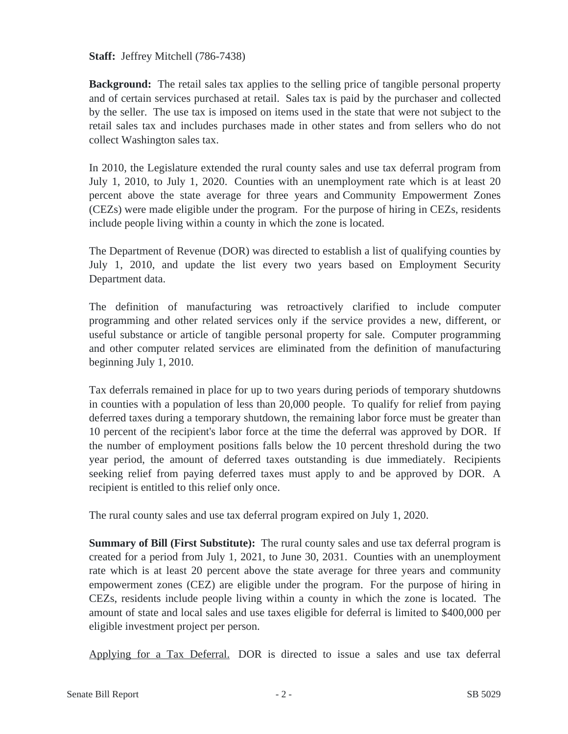**Staff:** Jeffrey Mitchell (786-7438)

**Background:** The retail sales tax applies to the selling price of tangible personal property and of certain services purchased at retail. Sales tax is paid by the purchaser and collected by the seller. The use tax is imposed on items used in the state that were not subject to the retail sales tax and includes purchases made in other states and from sellers who do not collect Washington sales tax.

In 2010, the Legislature extended the rural county sales and use tax deferral program from July 1, 2010, to July 1, 2020. Counties with an unemployment rate which is at least 20 percent above the state average for three years and Community Empowerment Zones (CEZs) were made eligible under the program. For the purpose of hiring in CEZs, residents include people living within a county in which the zone is located.

The Department of Revenue (DOR) was directed to establish a list of qualifying counties by July 1, 2010, and update the list every two years based on Employment Security Department data.

The definition of manufacturing was retroactively clarified to include computer programming and other related services only if the service provides a new, different, or useful substance or article of tangible personal property for sale. Computer programming and other computer related services are eliminated from the definition of manufacturing beginning July 1, 2010.

Tax deferrals remained in place for up to two years during periods of temporary shutdowns in counties with a population of less than 20,000 people. To qualify for relief from paying deferred taxes during a temporary shutdown, the remaining labor force must be greater than 10 percent of the recipient's labor force at the time the deferral was approved by DOR. If the number of employment positions falls below the 10 percent threshold during the two year period, the amount of deferred taxes outstanding is due immediately. Recipients seeking relief from paying deferred taxes must apply to and be approved by DOR. A recipient is entitled to this relief only once.

The rural county sales and use tax deferral program expired on July 1, 2020.

**Summary of Bill (First Substitute):** The rural county sales and use tax deferral program is created for a period from July 1, 2021, to June 30, 2031. Counties with an unemployment rate which is at least 20 percent above the state average for three years and community empowerment zones (CEZ) are eligible under the program. For the purpose of hiring in CEZs, residents include people living within a county in which the zone is located. The amount of state and local sales and use taxes eligible for deferral is limited to \$400,000 per eligible investment project per person.

Applying for a Tax Deferral. DOR is directed to issue a sales and use tax deferral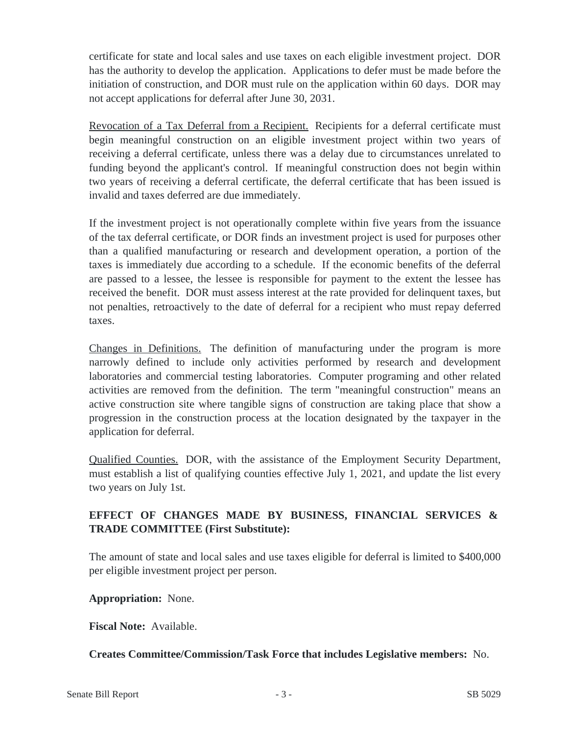certificate for state and local sales and use taxes on each eligible investment project. DOR has the authority to develop the application. Applications to defer must be made before the initiation of construction, and DOR must rule on the application within 60 days. DOR may not accept applications for deferral after June 30, 2031.

Revocation of a Tax Deferral from a Recipient. Recipients for a deferral certificate must begin meaningful construction on an eligible investment project within two years of receiving a deferral certificate, unless there was a delay due to circumstances unrelated to funding beyond the applicant's control. If meaningful construction does not begin within two years of receiving a deferral certificate, the deferral certificate that has been issued is invalid and taxes deferred are due immediately.

If the investment project is not operationally complete within five years from the issuance of the tax deferral certificate, or DOR finds an investment project is used for purposes other than a qualified manufacturing or research and development operation, a portion of the taxes is immediately due according to a schedule. If the economic benefits of the deferral are passed to a lessee, the lessee is responsible for payment to the extent the lessee has received the benefit. DOR must assess interest at the rate provided for delinquent taxes, but not penalties, retroactively to the date of deferral for a recipient who must repay deferred taxes.

Changes in Definitions. The definition of manufacturing under the program is more narrowly defined to include only activities performed by research and development laboratories and commercial testing laboratories. Computer programing and other related activities are removed from the definition. The term "meaningful construction" means an active construction site where tangible signs of construction are taking place that show a progression in the construction process at the location designated by the taxpayer in the application for deferral.

Qualified Counties. DOR, with the assistance of the Employment Security Department, must establish a list of qualifying counties effective July 1, 2021, and update the list every two years on July 1st.

## **EFFECT OF CHANGES MADE BY BUSINESS, FINANCIAL SERVICES & TRADE COMMITTEE (First Substitute):**

The amount of state and local sales and use taxes eligible for deferral is limited to \$400,000 per eligible investment project per person.

**Appropriation:** None.

**Fiscal Note:** Available.

**Creates Committee/Commission/Task Force that includes Legislative members:** No.